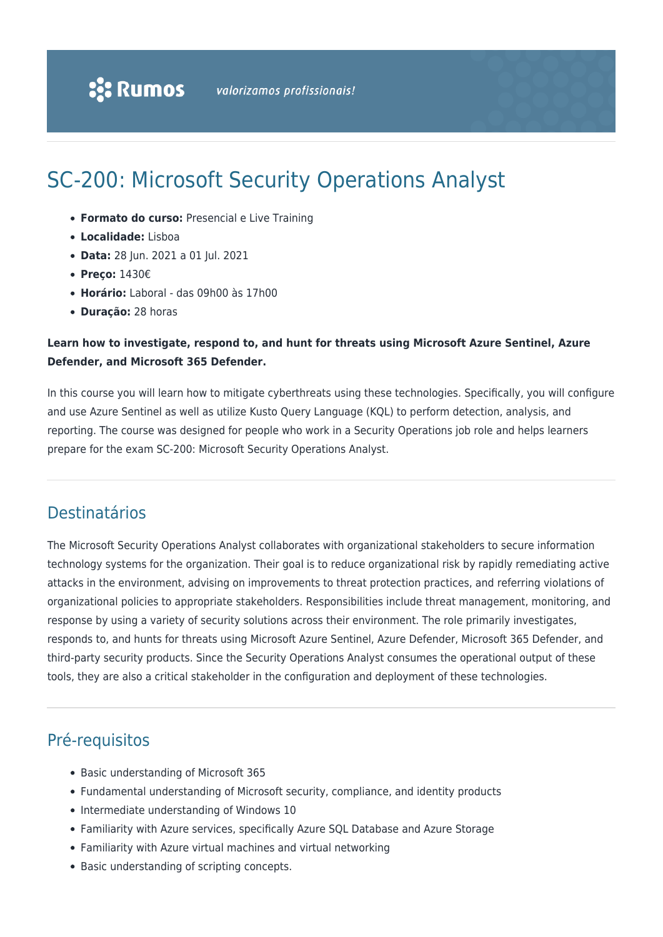# SC-200: Microsoft Security Operations Analyst

- **Formato do curso:** Presencial e Live Training
- **Localidade:** Lisboa
- **Data:** 28 Jun. 2021 a 01 Jul. 2021
- **Preço:** 1430€
- **Horário:** Laboral das 09h00 às 17h00
- **Duração:** 28 horas

# **Learn how to investigate, respond to, and hunt for threats using Microsoft Azure Sentinel, Azure Defender, and Microsoft 365 Defender.**

In this course you will learn how to mitigate cyberthreats using these technologies. Specifically, you will configure and use Azure Sentinel as well as utilize Kusto Query Language (KQL) to perform detection, analysis, and reporting. The course was designed for people who work in a Security Operations job role and helps learners prepare for the exam SC-200: Microsoft Security Operations Analyst.

# Destinatários

The Microsoft Security Operations Analyst collaborates with organizational stakeholders to secure information technology systems for the organization. Their goal is to reduce organizational risk by rapidly remediating active attacks in the environment, advising on improvements to threat protection practices, and referring violations of organizational policies to appropriate stakeholders. Responsibilities include threat management, monitoring, and response by using a variety of security solutions across their environment. The role primarily investigates, responds to, and hunts for threats using Microsoft Azure Sentinel, Azure Defender, Microsoft 365 Defender, and third-party security products. Since the Security Operations Analyst consumes the operational output of these tools, they are also a critical stakeholder in the configuration and deployment of these technologies.

# Pré-requisitos

- Basic understanding of Microsoft 365
- Fundamental understanding of Microsoft security, compliance, and identity products
- Intermediate understanding of Windows 10
- Familiarity with Azure services, specifically Azure SQL Database and Azure Storage
- Familiarity with Azure virtual machines and virtual networking
- Basic understanding of scripting concepts.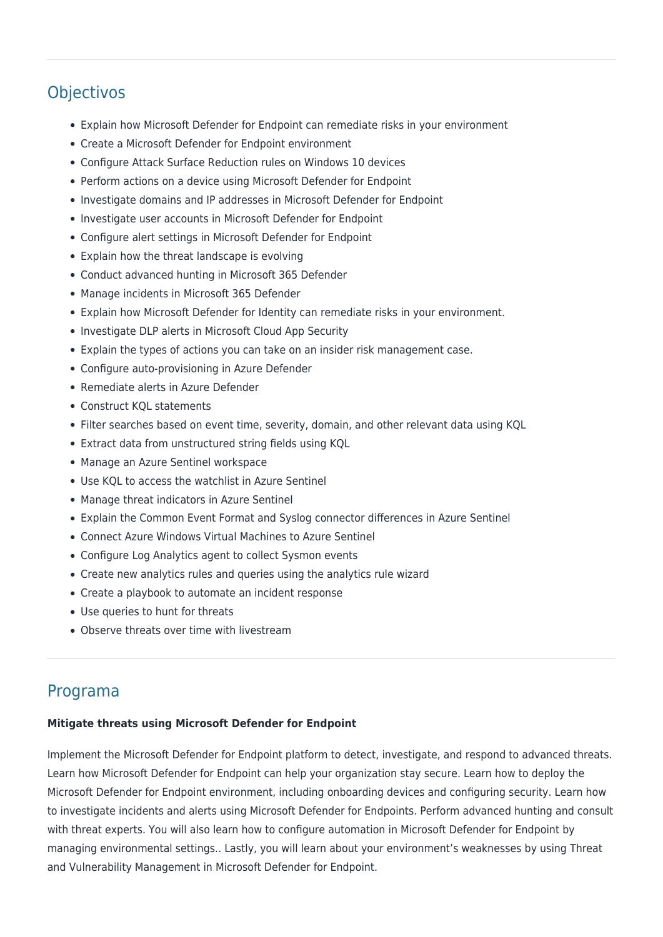# **Objectivos**

- Explain how Microsoft Defender for Endpoint can remediate risks in your environment
- Create a Microsoft Defender for Endpoint environment
- Configure Attack Surface Reduction rules on Windows 10 devices
- Perform actions on a device using Microsoft Defender for Endpoint
- Investigate domains and IP addresses in Microsoft Defender for Endpoint
- Investigate user accounts in Microsoft Defender for Endpoint
- Configure alert settings in Microsoft Defender for Endpoint
- Explain how the threat landscape is evolving
- Conduct advanced hunting in Microsoft 365 Defender
- Manage incidents in Microsoft 365 Defender
- Explain how Microsoft Defender for Identity can remediate risks in your environment.
- Investigate DLP alerts in Microsoft Cloud App Security
- Explain the types of actions you can take on an insider risk management case.
- Configure auto-provisioning in Azure Defender
- Remediate alerts in Azure Defender
- Construct KQL statements
- Filter searches based on event time, severity, domain, and other relevant data using KQL
- Extract data from unstructured string fields using KQL
- Manage an Azure Sentinel workspace
- Use KQL to access the watchlist in Azure Sentinel
- Manage threat indicators in Azure Sentinel
- Explain the Common Event Format and Syslog connector differences in Azure Sentinel
- Connect Azure Windows Virtual Machines to Azure Sentinel
- Configure Log Analytics agent to collect Sysmon events
- Create new analytics rules and queries using the analytics rule wizard
- Create a playbook to automate an incident response
- Use queries to hunt for threats
- Observe threats over time with livestream

# Programa

# **Mitigate threats using Microsoft Defender for Endpoint**

Implement the Microsoft Defender for Endpoint platform to detect, investigate, and respond to advanced threats. Learn how Microsoft Defender for Endpoint can help your organization stay secure. Learn how to deploy the Microsoft Defender for Endpoint environment, including onboarding devices and configuring security. Learn how to investigate incidents and alerts using Microsoft Defender for Endpoints. Perform advanced hunting and consult with threat experts. You will also learn how to configure automation in Microsoft Defender for Endpoint by managing environmental settings.. Lastly, you will learn about your environment's weaknesses by using Threat and Vulnerability Management in Microsoft Defender for Endpoint.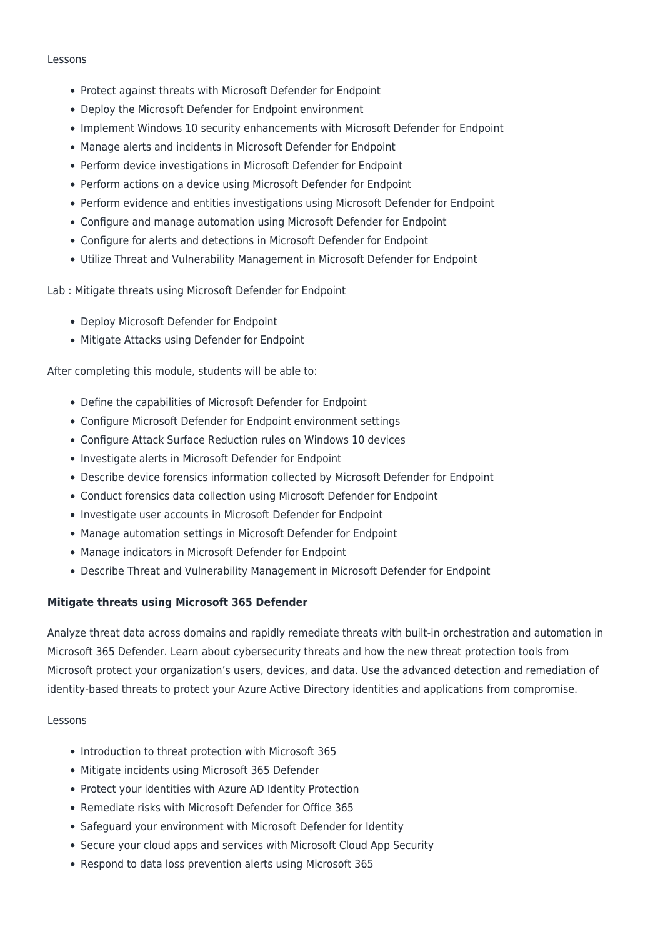#### Lessons

- Protect against threats with Microsoft Defender for Endpoint
- Deploy the Microsoft Defender for Endpoint environment
- Implement Windows 10 security enhancements with Microsoft Defender for Endpoint
- Manage alerts and incidents in Microsoft Defender for Endpoint
- Perform device investigations in Microsoft Defender for Endpoint
- Perform actions on a device using Microsoft Defender for Endpoint
- Perform evidence and entities investigations using Microsoft Defender for Endpoint
- Configure and manage automation using Microsoft Defender for Endpoint
- Configure for alerts and detections in Microsoft Defender for Endpoint
- Utilize Threat and Vulnerability Management in Microsoft Defender for Endpoint

Lab : Mitigate threats using Microsoft Defender for Endpoint

- Deploy Microsoft Defender for Endpoint
- Mitigate Attacks using Defender for Endpoint

After completing this module, students will be able to:

- Define the capabilities of Microsoft Defender for Endpoint
- Configure Microsoft Defender for Endpoint environment settings
- Configure Attack Surface Reduction rules on Windows 10 devices
- Investigate alerts in Microsoft Defender for Endpoint
- Describe device forensics information collected by Microsoft Defender for Endpoint
- Conduct forensics data collection using Microsoft Defender for Endpoint
- Investigate user accounts in Microsoft Defender for Endpoint
- Manage automation settings in Microsoft Defender for Endpoint
- Manage indicators in Microsoft Defender for Endpoint
- Describe Threat and Vulnerability Management in Microsoft Defender for Endpoint

# **Mitigate threats using Microsoft 365 Defender**

Analyze threat data across domains and rapidly remediate threats with built-in orchestration and automation in Microsoft 365 Defender. Learn about cybersecurity threats and how the new threat protection tools from Microsoft protect your organization's users, devices, and data. Use the advanced detection and remediation of identity-based threats to protect your Azure Active Directory identities and applications from compromise.

# Lessons

- Introduction to threat protection with Microsoft 365
- Mitigate incidents using Microsoft 365 Defender
- Protect your identities with Azure AD Identity Protection
- Remediate risks with Microsoft Defender for Office 365
- Safeguard your environment with Microsoft Defender for Identity
- Secure your cloud apps and services with Microsoft Cloud App Security
- Respond to data loss prevention alerts using Microsoft 365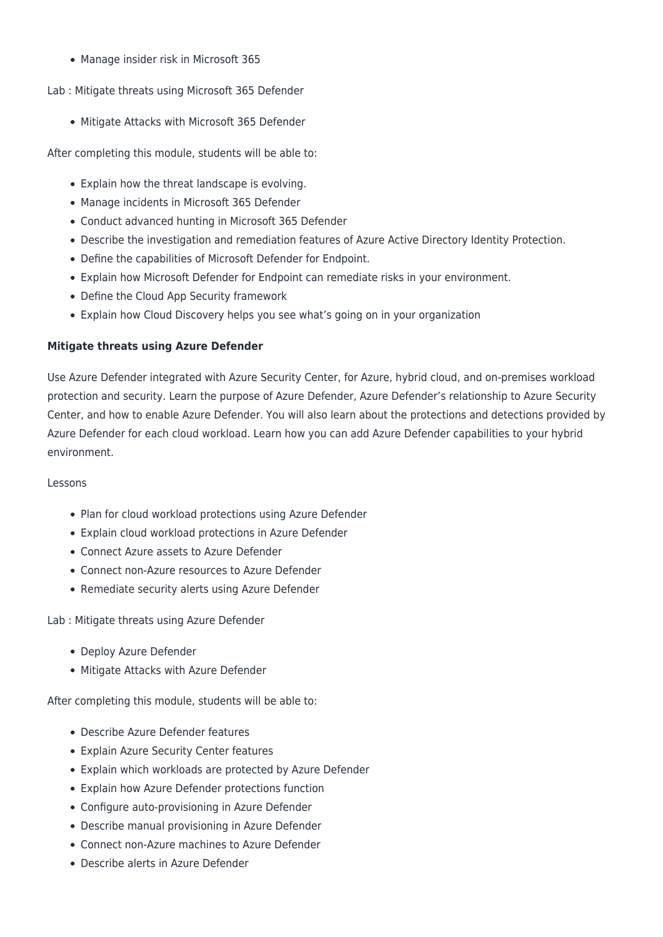• Manage insider risk in Microsoft 365

#### Lab : Mitigate threats using Microsoft 365 Defender

Mitigate Attacks with Microsoft 365 Defender

After completing this module, students will be able to:

- Explain how the threat landscape is evolving.
- Manage incidents in Microsoft 365 Defender
- Conduct advanced hunting in Microsoft 365 Defender
- Describe the investigation and remediation features of Azure Active Directory Identity Protection.
- Define the capabilities of Microsoft Defender for Endpoint.
- Explain how Microsoft Defender for Endpoint can remediate risks in your environment.
- Define the Cloud App Security framework
- Explain how Cloud Discovery helps you see what's going on in your organization

#### **Mitigate threats using Azure Defender**

Use Azure Defender integrated with Azure Security Center, for Azure, hybrid cloud, and on-premises workload protection and security. Learn the purpose of Azure Defender, Azure Defender's relationship to Azure Security Center, and how to enable Azure Defender. You will also learn about the protections and detections provided by Azure Defender for each cloud workload. Learn how you can add Azure Defender capabilities to your hybrid environment.

#### Lessons

- Plan for cloud workload protections using Azure Defender
- Explain cloud workload protections in Azure Defender
- Connect Azure assets to Azure Defender
- Connect non-Azure resources to Azure Defender
- Remediate security alerts using Azure Defender

Lab : Mitigate threats using Azure Defender

- Deploy Azure Defender
- Mitigate Attacks with Azure Defender

After completing this module, students will be able to:

- Describe Azure Defender features
- Explain Azure Security Center features
- Explain which workloads are protected by Azure Defender
- Explain how Azure Defender protections function
- Configure auto-provisioning in Azure Defender
- Describe manual provisioning in Azure Defender
- Connect non-Azure machines to Azure Defender
- Describe alerts in Azure Defender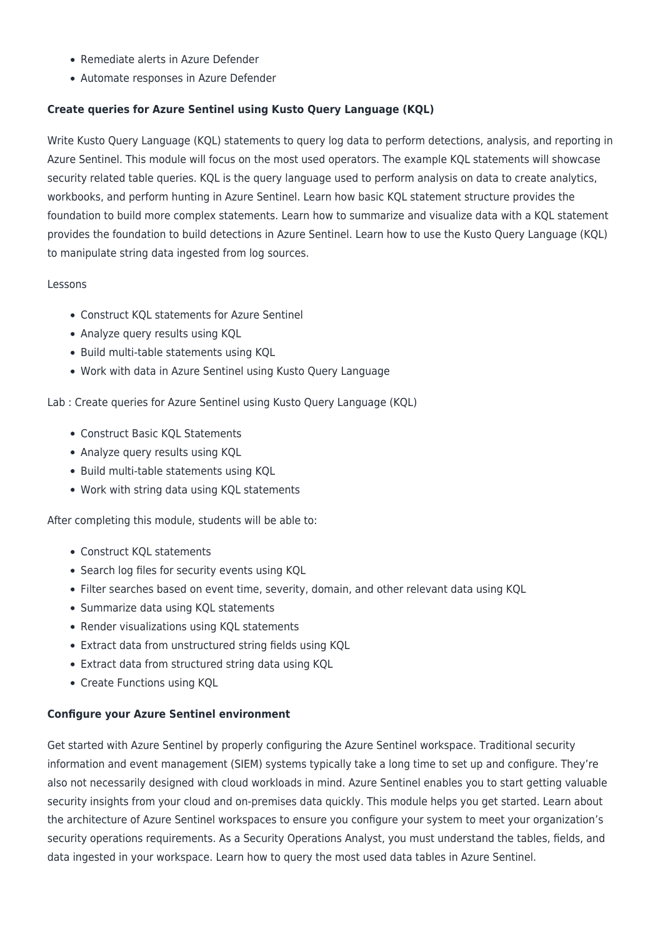- Remediate alerts in Azure Defender
- Automate responses in Azure Defender

# **Create queries for Azure Sentinel using Kusto Query Language (KQL)**

Write Kusto Query Language (KQL) statements to query log data to perform detections, analysis, and reporting in Azure Sentinel. This module will focus on the most used operators. The example KQL statements will showcase security related table queries. KQL is the query language used to perform analysis on data to create analytics, workbooks, and perform hunting in Azure Sentinel. Learn how basic KQL statement structure provides the foundation to build more complex statements. Learn how to summarize and visualize data with a KQL statement provides the foundation to build detections in Azure Sentinel. Learn how to use the Kusto Query Language (KQL) to manipulate string data ingested from log sources.

#### Lessons

- Construct KQL statements for Azure Sentinel
- Analyze query results using KQL
- Build multi-table statements using KQL
- Work with data in Azure Sentinel using Kusto Query Language

Lab : Create queries for Azure Sentinel using Kusto Query Language (KQL)

- Construct Basic KQL Statements
- Analyze query results using KQL
- Build multi-table statements using KQL
- Work with string data using KQL statements

After completing this module, students will be able to:

- Construct KQL statements
- Search log files for security events using KQL
- Filter searches based on event time, severity, domain, and other relevant data using KQL
- Summarize data using KQL statements
- Render visualizations using KQL statements
- Extract data from unstructured string fields using KQL
- Extract data from structured string data using KQL
- Create Functions using KQL

# **Configure your Azure Sentinel environment**

Get started with Azure Sentinel by properly configuring the Azure Sentinel workspace. Traditional security information and event management (SIEM) systems typically take a long time to set up and configure. They're also not necessarily designed with cloud workloads in mind. Azure Sentinel enables you to start getting valuable security insights from your cloud and on-premises data quickly. This module helps you get started. Learn about the architecture of Azure Sentinel workspaces to ensure you configure your system to meet your organization's security operations requirements. As a Security Operations Analyst, you must understand the tables, fields, and data ingested in your workspace. Learn how to query the most used data tables in Azure Sentinel.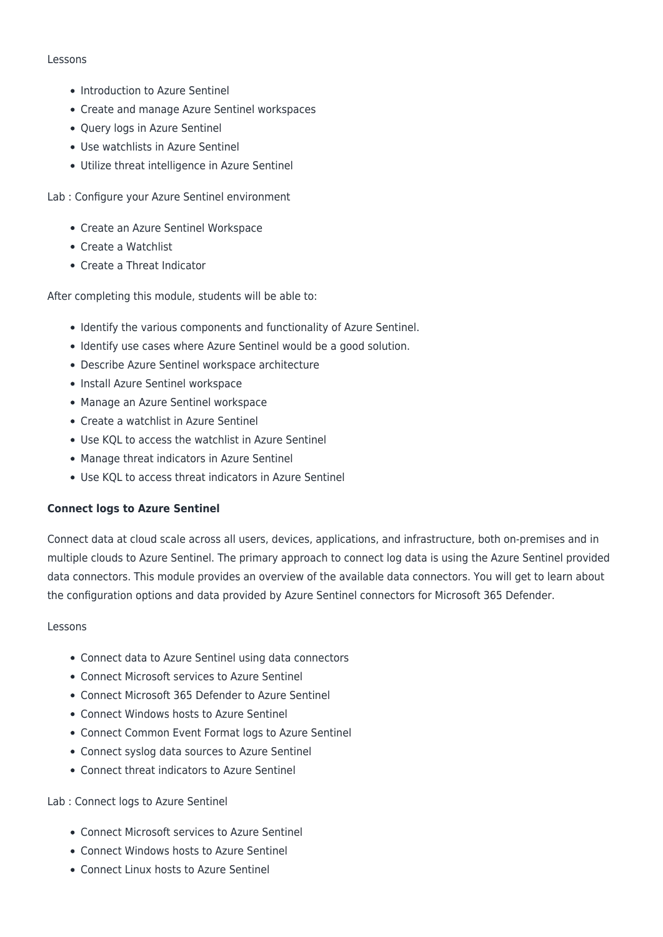#### Lessons

- Introduction to Azure Sentinel
- Create and manage Azure Sentinel workspaces
- Query logs in Azure Sentinel
- Use watchlists in Azure Sentinel
- Utilize threat intelligence in Azure Sentinel
- Lab : Configure your Azure Sentinel environment
	- Create an Azure Sentinel Workspace
	- Create a Watchlist
	- Create a Threat Indicator

After completing this module, students will be able to:

- Identify the various components and functionality of Azure Sentinel.
- Identify use cases where Azure Sentinel would be a good solution.
- Describe Azure Sentinel workspace architecture
- Install Azure Sentinel workspace
- Manage an Azure Sentinel workspace
- Create a watchlist in Azure Sentinel
- Use KQL to access the watchlist in Azure Sentinel
- Manage threat indicators in Azure Sentinel
- Use KQL to access threat indicators in Azure Sentinel

# **Connect logs to Azure Sentinel**

Connect data at cloud scale across all users, devices, applications, and infrastructure, both on-premises and in multiple clouds to Azure Sentinel. The primary approach to connect log data is using the Azure Sentinel provided data connectors. This module provides an overview of the available data connectors. You will get to learn about the configuration options and data provided by Azure Sentinel connectors for Microsoft 365 Defender.

# Lessons

- Connect data to Azure Sentinel using data connectors
- Connect Microsoft services to Azure Sentinel
- Connect Microsoft 365 Defender to Azure Sentinel
- Connect Windows hosts to Azure Sentinel
- Connect Common Event Format logs to Azure Sentinel
- Connect syslog data sources to Azure Sentinel
- Connect threat indicators to Azure Sentinel

# Lab : Connect logs to Azure Sentinel

- Connect Microsoft services to Azure Sentinel
- Connect Windows hosts to Azure Sentinel
- Connect Linux hosts to Azure Sentinel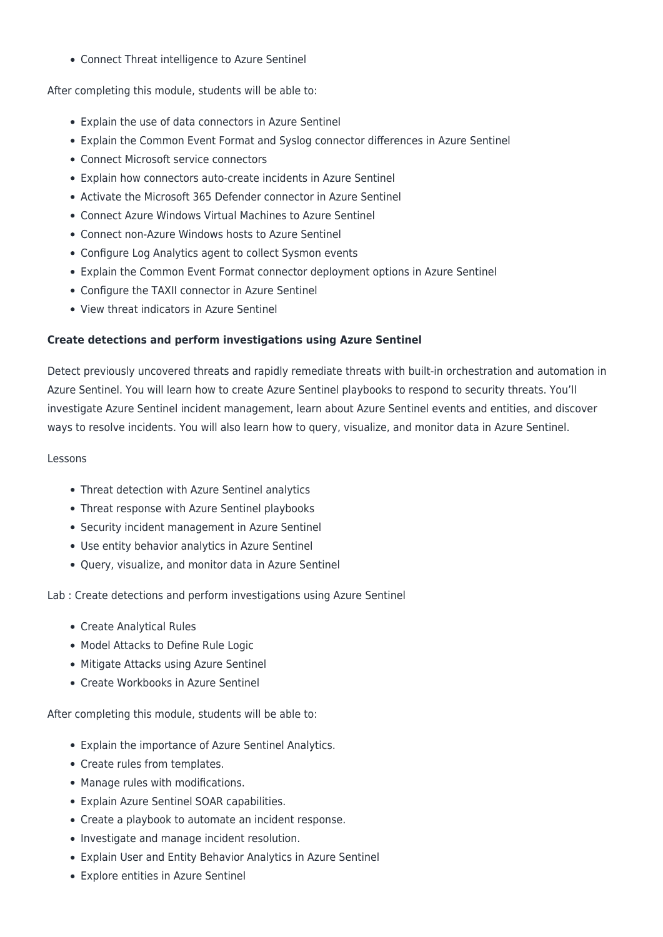Connect Threat intelligence to Azure Sentinel

After completing this module, students will be able to:

- Explain the use of data connectors in Azure Sentinel
- Explain the Common Event Format and Syslog connector differences in Azure Sentinel
- Connect Microsoft service connectors
- Explain how connectors auto-create incidents in Azure Sentinel
- Activate the Microsoft 365 Defender connector in Azure Sentinel
- Connect Azure Windows Virtual Machines to Azure Sentinel
- Connect non-Azure Windows hosts to Azure Sentinel
- Configure Log Analytics agent to collect Sysmon events
- Explain the Common Event Format connector deployment options in Azure Sentinel
- Configure the TAXII connector in Azure Sentinel
- View threat indicators in Azure Sentinel

# **Create detections and perform investigations using Azure Sentinel**

Detect previously uncovered threats and rapidly remediate threats with built-in orchestration and automation in Azure Sentinel. You will learn how to create Azure Sentinel playbooks to respond to security threats. You'll investigate Azure Sentinel incident management, learn about Azure Sentinel events and entities, and discover ways to resolve incidents. You will also learn how to query, visualize, and monitor data in Azure Sentinel.

#### Lessons

- Threat detection with Azure Sentinel analytics
- Threat response with Azure Sentinel playbooks
- Security incident management in Azure Sentinel
- Use entity behavior analytics in Azure Sentinel
- Query, visualize, and monitor data in Azure Sentinel

Lab : Create detections and perform investigations using Azure Sentinel

- Create Analytical Rules
- Model Attacks to Define Rule Logic
- Mitigate Attacks using Azure Sentinel
- Create Workbooks in Azure Sentinel

After completing this module, students will be able to:

- Explain the importance of Azure Sentinel Analytics.
- Create rules from templates.
- Manage rules with modifications.
- Explain Azure Sentinel SOAR capabilities.
- Create a playbook to automate an incident response.
- Investigate and manage incident resolution.
- Explain User and Entity Behavior Analytics in Azure Sentinel
- Explore entities in Azure Sentinel